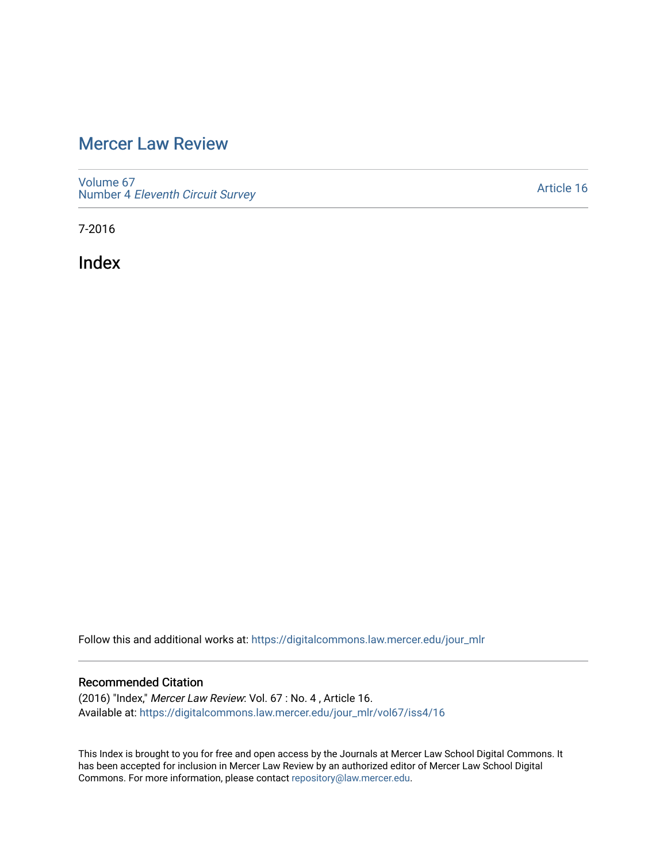# [Mercer Law Review](https://digitalcommons.law.mercer.edu/jour_mlr)

[Volume 67](https://digitalcommons.law.mercer.edu/jour_mlr/vol67) Number 4 [Eleventh Circuit Survey](https://digitalcommons.law.mercer.edu/jour_mlr/vol67/iss4) 

[Article 16](https://digitalcommons.law.mercer.edu/jour_mlr/vol67/iss4/16) 

7-2016

Index

Follow this and additional works at: [https://digitalcommons.law.mercer.edu/jour\\_mlr](https://digitalcommons.law.mercer.edu/jour_mlr?utm_source=digitalcommons.law.mercer.edu%2Fjour_mlr%2Fvol67%2Fiss4%2F16&utm_medium=PDF&utm_campaign=PDFCoverPages)

#### Recommended Citation

(2016) "Index," Mercer Law Review: Vol. 67 : No. 4 , Article 16. Available at: [https://digitalcommons.law.mercer.edu/jour\\_mlr/vol67/iss4/16](https://digitalcommons.law.mercer.edu/jour_mlr/vol67/iss4/16?utm_source=digitalcommons.law.mercer.edu%2Fjour_mlr%2Fvol67%2Fiss4%2F16&utm_medium=PDF&utm_campaign=PDFCoverPages) 

This Index is brought to you for free and open access by the Journals at Mercer Law School Digital Commons. It has been accepted for inclusion in Mercer Law Review by an authorized editor of Mercer Law School Digital Commons. For more information, please contact [repository@law.mercer.edu.](mailto:repository@law.mercer.edu)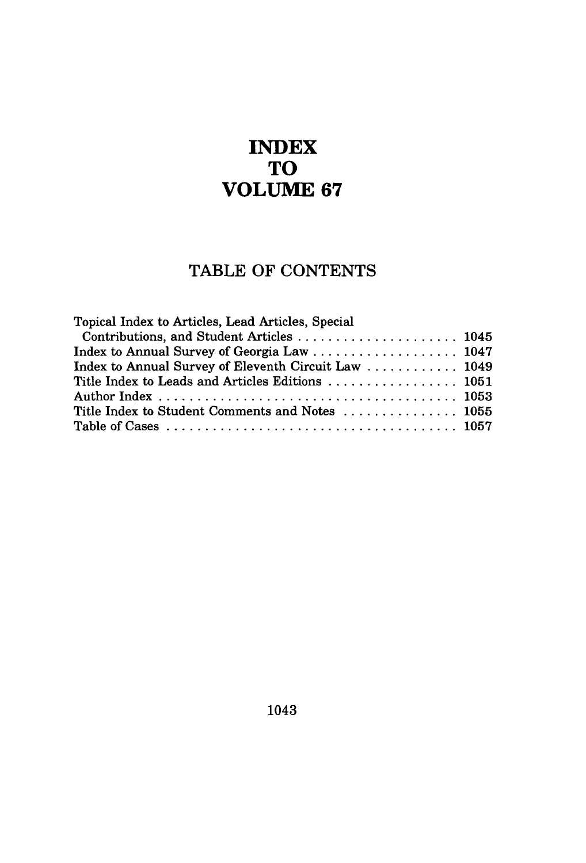# **INDEX TO VOLUME 67**

# TABLE OF **CONTENTS**

| Topical Index to Articles, Lead Articles, Special    |  |
|------------------------------------------------------|--|
| Contributions, and Student Articles  1045            |  |
| Index to Annual Survey of Georgia Law  1047          |  |
| Index to Annual Survey of Eleventh Circuit Law  1049 |  |
| Title Index to Leads and Articles Editions  1051     |  |
|                                                      |  |
| Title Index to Student Comments and Notes  1055      |  |
|                                                      |  |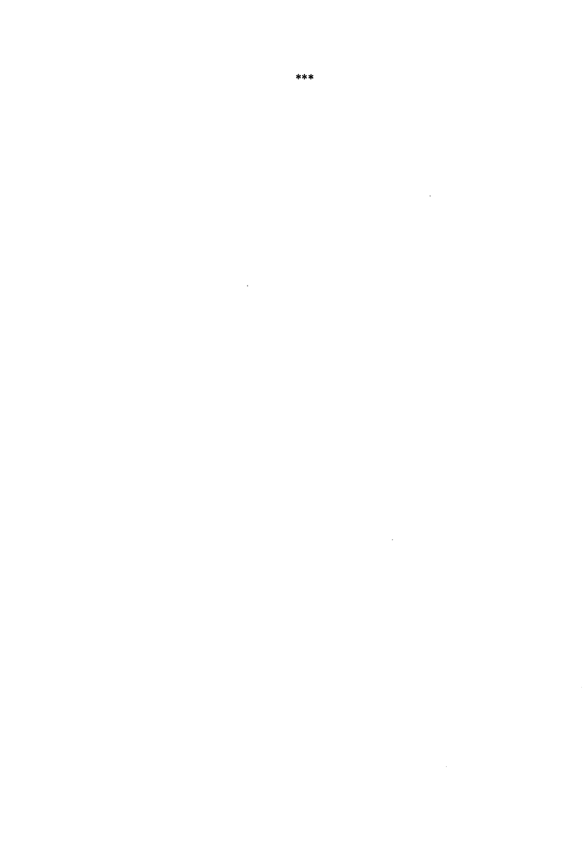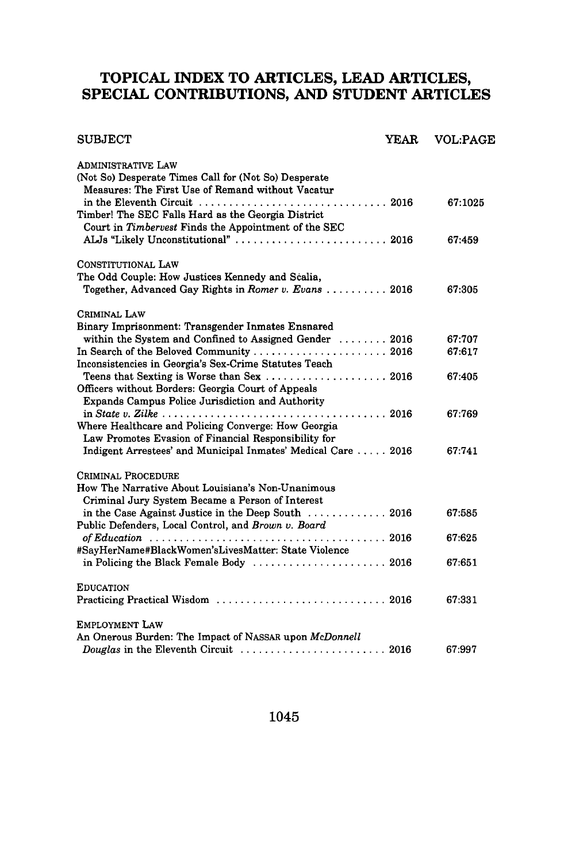### **TOPICAL INDEX TO ARTICLES, LEAD ARTICLES, SPECIAL CONTRIBUTIONS, AND STUDENT ARTICLES**

| <b>SUBJECT</b>                                                                                                                                                 | <b>YEAR</b> | <b>VOL:PAGE</b> |
|----------------------------------------------------------------------------------------------------------------------------------------------------------------|-------------|-----------------|
| ADMINISTRATIVE LAW<br>(Not So) Desperate Times Call for (Not So) Desperate                                                                                     |             |                 |
| Measures: The First Use of Remand without Vacatur                                                                                                              |             |                 |
|                                                                                                                                                                |             | 67:1025         |
| Timber! The SEC Falls Hard as the Georgia District                                                                                                             |             |                 |
| Court in Timbervest Finds the Appointment of the SEC                                                                                                           |             |                 |
| ALJs "Likely Unconstitutional"  2016                                                                                                                           |             | 67:459          |
| CONSTITUTIONAL LAW                                                                                                                                             |             |                 |
| The Odd Couple: How Justices Kennedy and Scalia,                                                                                                               |             |                 |
| Together, Advanced Gay Rights in Romer v. Evans 2016                                                                                                           |             | 67:305          |
| CRIMINAL LAW                                                                                                                                                   |             |                 |
| Binary Imprisonment: Transgender Inmates Ensnared                                                                                                              |             |                 |
| within the System and Confined to Assigned Gender  2016                                                                                                        |             | 67:707          |
| In Search of the Beloved Community  2016                                                                                                                       |             | 67:617          |
| Inconsistencies in Georgia's Sex-Crime Statutes Teach                                                                                                          |             |                 |
| Teens that Sexting is Worse than Sex  2016                                                                                                                     |             | 67:405          |
| Officers without Borders: Georgia Court of Appeals                                                                                                             |             |                 |
| Expands Campus Police Jurisdiction and Authority                                                                                                               |             |                 |
| Where Healthcare and Policing Converge: How Georgia                                                                                                            |             | 67:769          |
| Law Promotes Evasion of Financial Responsibility for                                                                                                           |             |                 |
| Indigent Arrestees' and Municipal Inmates' Medical Care  2016                                                                                                  |             | 67:741          |
|                                                                                                                                                                |             |                 |
| CRIMINAL PROCEDURE                                                                                                                                             |             |                 |
| How The Narrative About Louisiana's Non-Unanimous                                                                                                              |             |                 |
| Criminal Jury System Became a Person of Interest                                                                                                               |             |                 |
| in the Case Against Justice in the Deep South $\ldots \ldots \ldots 2016$                                                                                      |             | 67:585          |
| Public Defenders, Local Control, and Brown v. Board                                                                                                            |             |                 |
| of Education $\ldots \ldots \ldots \ldots \ldots \ldots \ldots \ldots \ldots \ldots \ldots \ldots 2016$<br>#SayHerName#BlackWomen'sLivesMatter: State Violence |             | 67:625          |
| in Policing the Black Female Body  2016                                                                                                                        |             | 67:651          |
|                                                                                                                                                                |             |                 |
| <b>EDUCATION</b>                                                                                                                                               |             |                 |
| Practicing Practical Wisdom  2016                                                                                                                              |             | 67:331          |
| <b>EMPLOYMENT LAW</b>                                                                                                                                          |             |                 |
| An Onerous Burden: The Impact of NASSAR upon McDonnell                                                                                                         |             |                 |
| <i>Douglas</i> in the Eleventh Circuit $\ldots \ldots \ldots \ldots \ldots \ldots \ldots 2016$                                                                 |             | 67:997          |
|                                                                                                                                                                |             |                 |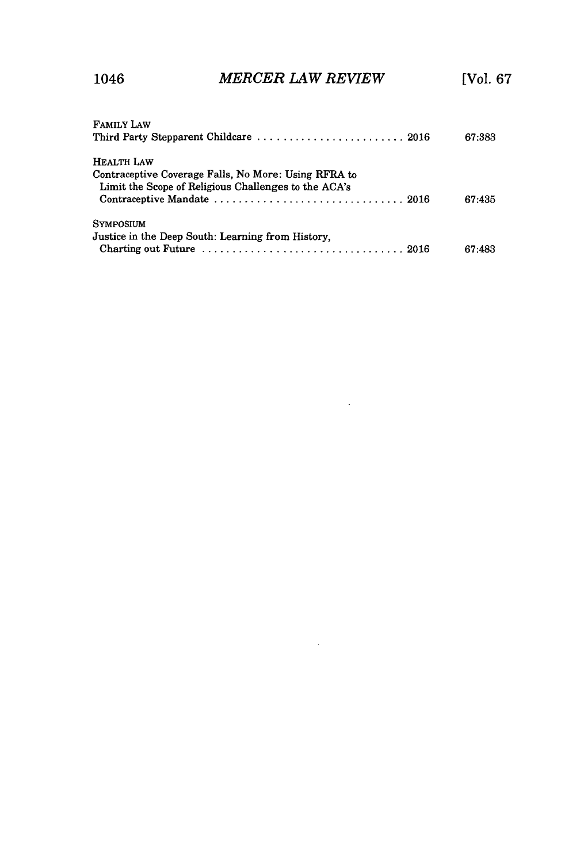| <b>FAMILY LAW</b>                                    |        |
|------------------------------------------------------|--------|
|                                                      | 67:383 |
| HEALTH LAW                                           |        |
| Contraceptive Coverage Falls, No More: Using RFRA to |        |
|                                                      |        |
| Limit the Scope of Religious Challenges to the ACA's |        |
|                                                      | 67:435 |
| <b>SYMPOSIUM</b>                                     |        |
| Justice in the Deep South: Learning from History.    |        |
|                                                      |        |
|                                                      | 67:483 |

 $\sim 10^{11}$  km  $^{-1}$ 

 $\sim 10^{-1}$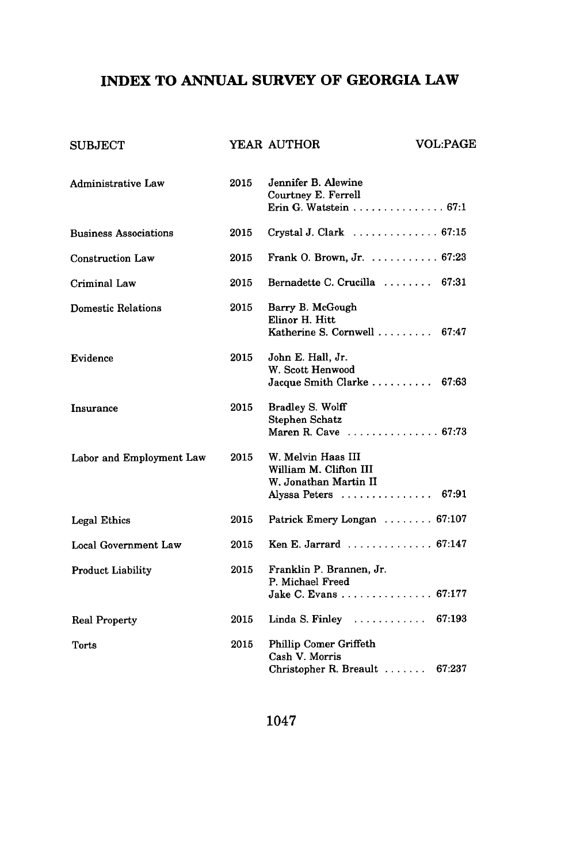## **INDEX TO ANNUAL SURVEY OF GEORGIA LAW**

| <b>SUBJECT</b>               |      | YEAR AUTHOR                                                                                   | <b>VOL:PAGE</b> |
|------------------------------|------|-----------------------------------------------------------------------------------------------|-----------------|
| <b>Administrative Law</b>    | 2015 | Jennifer B. Alewine<br>Courtney E. Ferrell<br>Erin G. Watstein 67:1                           |                 |
| <b>Business Associations</b> | 2015 | Crystal J. Clark 67:15                                                                        |                 |
| Construction Law             | 2015 | Frank O. Brown, Jr. 67:23                                                                     |                 |
| Criminal Law                 | 2015 | Bernadette C. Crucilla  67:31                                                                 |                 |
| <b>Domestic Relations</b>    | 2015 | Barry B. McGough<br>Elinor H. Hitt<br>Katherine S. Cornwell  67:47                            |                 |
| Evidence                     | 2015 | John E. Hall, Jr.<br>W. Scott Henwood<br>Jacque Smith Clarke  67:63                           |                 |
| Insurance                    | 2015 | Bradley S. Wolff<br>Stephen Schatz<br>Maren R. Cave 67:73                                     |                 |
| Labor and Employment Law     | 2015 | W. Melvin Haas III<br>William M. Clifton III<br>W. Jonathan Martin II<br>Alyssa Peters  67:91 |                 |
| Legal Ethics                 | 2015 | Patrick Emery Longan  67:107                                                                  |                 |
| Local Government Law         | 2015 | Ken E. Jarrard  67:147                                                                        |                 |
| Product Liability            | 2015 | Franklin P. Brannen, Jr.<br>P. Michael Freed<br>Jake C. Evans 67:177                          |                 |
| <b>Real Property</b>         | 2015 | Linda S. Finley $\dots \dots \dots$                                                           | 67:193          |
| Torts                        | 2015 | Phillip Comer Griffeth<br>Cash V. Morris<br>$\Gamma$ Christopher R. Breault $\ldots \ldots$   | 67:237          |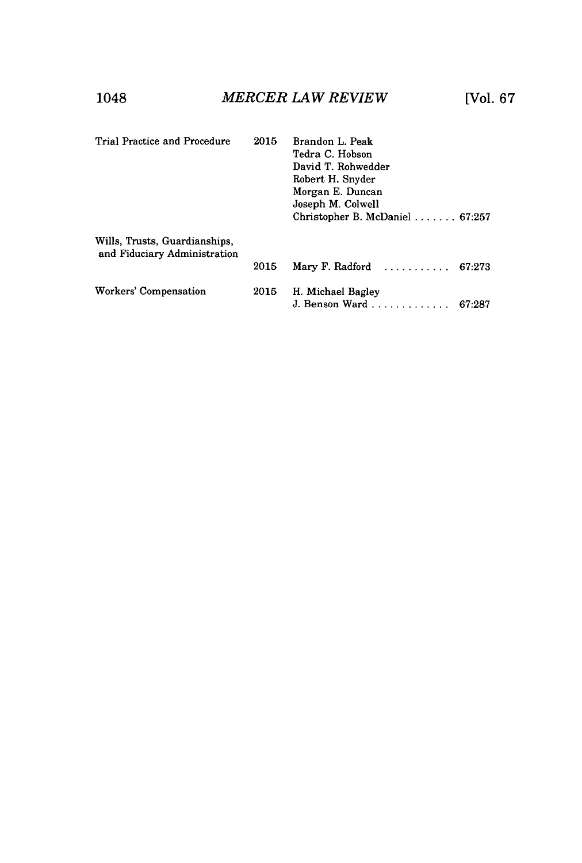| Trial Practice and Procedure                                  | 2015 | Brandon L. Peak                |        |
|---------------------------------------------------------------|------|--------------------------------|--------|
|                                                               |      | Tedra C. Hobson                |        |
|                                                               |      | David T. Rohwedder             |        |
|                                                               |      | Robert H. Snyder               |        |
|                                                               |      | Morgan E. Duncan               |        |
|                                                               |      | Joseph M. Colwell              |        |
|                                                               |      | Christopher B. McDaniel 67:257 |        |
| Wills, Trusts, Guardianships,<br>and Fiduciary Administration |      |                                |        |
|                                                               | 2015 | Mary F. Radford $\ldots$ ,     | 67:273 |
| Workers' Compensation                                         | 2015 | H. Michael Bagley              |        |
|                                                               |      | J. Benson Ward                 | 67:287 |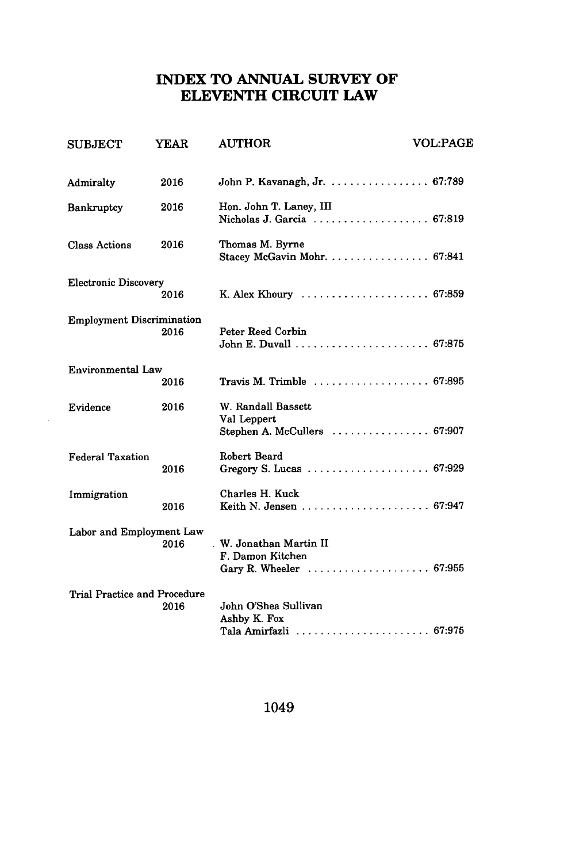## **INDEX TO ANNUAL SURVEY OF ELEVENTH CIRCUIT LAW**

| <b>SUBJECT</b>                      | YEAR | <b>AUTHOR</b>                                                                       | <b>VOL:PAGE</b> |
|-------------------------------------|------|-------------------------------------------------------------------------------------|-----------------|
| Admiralty                           | 2016 | John P. Kavanagh, Jr. 67:789                                                        |                 |
| Bankruptcy                          | 2016 | Hon. John T. Laney, III<br>Nicholas J. Garcia  67:819                               |                 |
| <b>Class Actions</b>                | 2016 | Thomas M. Byrne<br>Stacey McGavin Mohr. $\ldots \ldots \ldots \ldots \ldots$ 67:841 |                 |
| <b>Electronic Discovery</b>         |      |                                                                                     |                 |
|                                     | 2016 | K. Alex Khoury  67:859                                                              |                 |
| <b>Employment Discrimination</b>    |      |                                                                                     |                 |
|                                     | 2016 | Peter Reed Corbin<br>John E. Duvall  67:875                                         |                 |
| <b>Environmental Law</b>            |      |                                                                                     |                 |
|                                     | 2016 | Travis M. Trimble $\dots \dots \dots \dots \dots \dots \dots 67:895$                |                 |
| Evidence                            | 2016 | W. Randall Bassett<br>Val Leppert<br>Stephen A. McCullers  67:907                   |                 |
| <b>Federal Taxation</b>             |      | Robert Beard                                                                        |                 |
|                                     | 2016 | Gregory S. Lucas  67:929                                                            |                 |
| Immigration                         | 2016 | Charles H. Kuck<br>Keith N. Jensen  67:947                                          |                 |
|                                     |      |                                                                                     |                 |
| Labor and Employment Law            | 2016 | . W. Jonathan Martin II                                                             |                 |
|                                     |      | F. Damon Kitchen<br>Gary R. Wheeler  67:955                                         |                 |
| <b>Trial Practice and Procedure</b> |      |                                                                                     |                 |
|                                     | 2016 | John O'Shea Sullivan                                                                |                 |
|                                     |      | Ashby K. Fox<br>Tala Amirfazli  67:975                                              |                 |
|                                     |      |                                                                                     |                 |

l,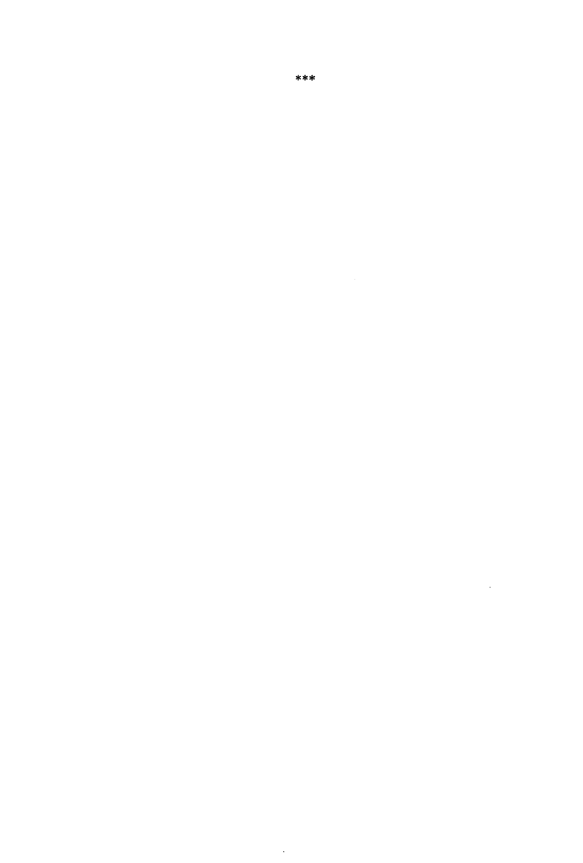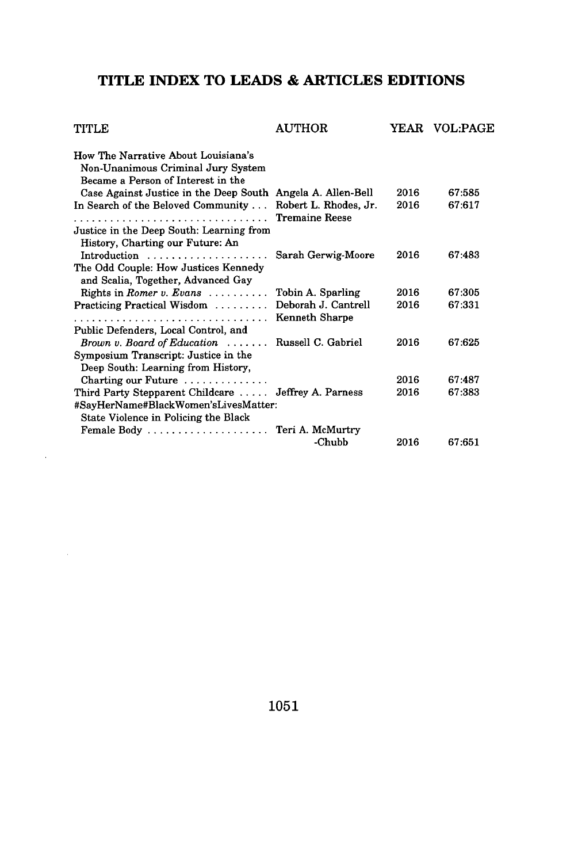## **TITLE INDEX TO LEADS & ARTICLES EDITIONS**

| <b>TITLE</b>                                                                                                    | <b>AUTHOR</b>                           |      | YEAR VOL:PAGE |
|-----------------------------------------------------------------------------------------------------------------|-----------------------------------------|------|---------------|
| How The Narrative About Louisiana's<br>Non-Unanimous Criminal Jury System<br>Became a Person of Interest in the |                                         |      |               |
| Case Against Justice in the Deep South Angela A. Allen-Bell                                                     |                                         | 2016 | 67:585        |
| In Search of the Beloved Community                                                                              | Robert L. Rhodes, Jr.<br>Tremaine Reese | 2016 | 67:617        |
| Justice in the Deep South: Learning from<br>History, Charting our Future: An                                    |                                         |      |               |
|                                                                                                                 | Sarah Gerwig-Moore                      | 2016 | 67:483        |
| The Odd Couple: How Justices Kennedy<br>and Scalia, Together, Advanced Gay                                      |                                         |      |               |
| Rights in Romer v. Evans $\ldots \ldots \ldots$                                                                 | Tobin A. Sparling                       | 2016 | 67:305        |
| Practicing Practical Wisdom                                                                                     | Deborah J. Cantrell<br>Kenneth Sharpe   | 2016 | 67:331        |
| Public Defenders, Local Control, and                                                                            |                                         |      |               |
| Brown v. Board of Education $\ldots \ldots$                                                                     | Russell C. Gabriel                      | 2016 | 67:625        |
| Symposium Transcript: Justice in the                                                                            |                                         |      |               |
| Deep South: Learning from History,                                                                              |                                         |      |               |
| Charting our Future $\dots\dots\dots\dots$                                                                      |                                         | 2016 | 67:487        |
| Third Party Stepparent Childcare  Jeffrey A. Parness                                                            |                                         | 2016 | 67:383        |
| #SayHerName#BlackWomen'sLivesMatter:                                                                            |                                         |      |               |
| State Violence in Policing the Black                                                                            |                                         |      |               |
|                                                                                                                 | -Chubb                                  | 2016 | 67:651        |

 $\bar{\beta}$ 

 $\sim$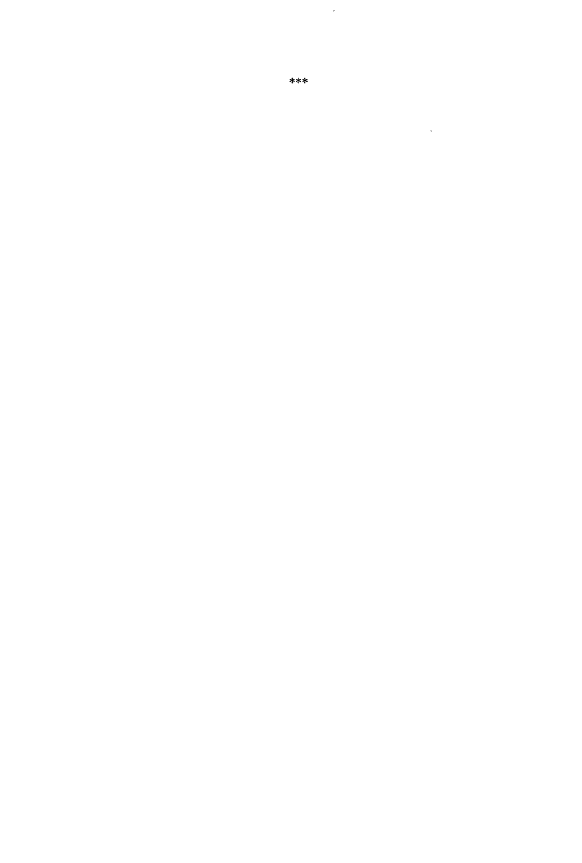

 $\mathcal{L}_{\mathcal{A}}$ 

 $\label{eq:2.1} \frac{1}{\sqrt{2}}\int_{\mathbb{R}^3}\frac{1}{\sqrt{2}}\left(\frac{1}{\sqrt{2}}\right)^2\frac{1}{\sqrt{2}}\left(\frac{1}{\sqrt{2}}\right)^2\frac{1}{\sqrt{2}}\left(\frac{1}{\sqrt{2}}\right)^2\frac{1}{\sqrt{2}}\left(\frac{1}{\sqrt{2}}\right)^2.$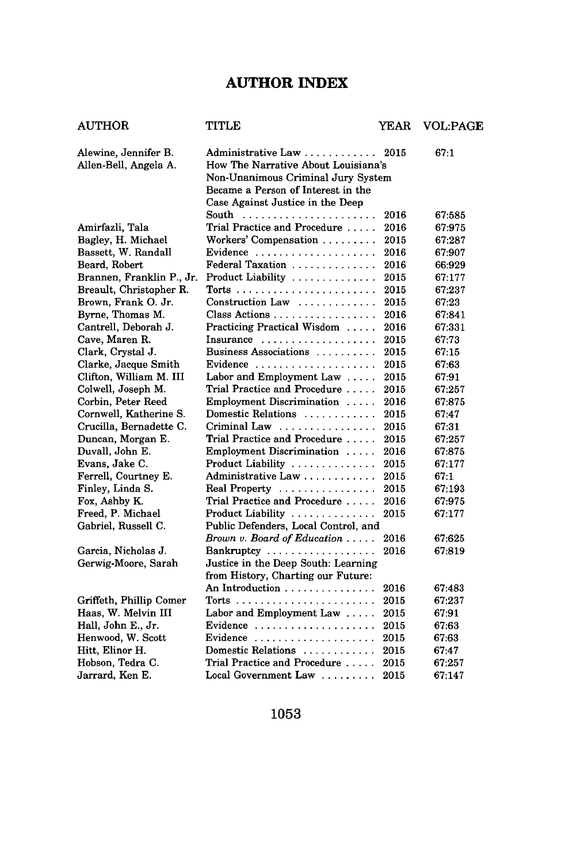## **AUTHOR INDEX**

|  | <b>AUTHOR</b> |
|--|---------------|
|--|---------------|

#### TITLE

#### YEAR **VOL:PAGE**

| Alewine, Jennifer B.      | Administrative Law                   | 2015 | 67:1   |  |
|---------------------------|--------------------------------------|------|--------|--|
| Allen-Bell, Angela A.     | How The Narrative About Louisiana's  |      |        |  |
|                           | Non-Unanimous Criminal Jury System   |      |        |  |
|                           | Became a Person of Interest in the   |      |        |  |
|                           | Case Against Justice in the Deep     |      |        |  |
|                           | South                                | 2016 | 67:585 |  |
| Amirfazli, Tala           | Trial Practice and Procedure         | 2016 | 67:975 |  |
| Bagley, H. Michael        | Workers' Compensation                | 2015 | 67:287 |  |
| Bassett, W. Randall       | Evidence                             | 2016 | 67:907 |  |
| Beard, Robert             | Federal Taxation                     | 2016 | 66:929 |  |
| Brannen, Franklin P., Jr. | Product Liability                    | 2015 | 67:177 |  |
| Breault, Christopher R.   |                                      | 2015 | 67:237 |  |
| Brown, Frank O. Jr.       | Construction Law                     | 2015 | 67:23  |  |
| Byrne, Thomas M.          | Class Actions                        | 2016 | 67:841 |  |
| Cantrell, Deborah J.      | Practicing Practical Wisdom          | 2016 | 67:331 |  |
| Cave, Maren R.            | Insurance                            | 2015 | 67:73  |  |
| Clark, Crystal J.         | Business Associations                | 2015 | 67:15  |  |
| Clarke, Jacque Smith      | Evidence                             | 2015 | 67:63  |  |
| Clifton, William M. III   | Labor and Employment Law             | 2015 | 67:91  |  |
| Colwell, Joseph M.        | Trial Practice and Procedure         | 2015 | 67:257 |  |
| Corbin, Peter Reed        | Employment Discrimination            | 2016 | 67:875 |  |
| Cornwell, Katherine S.    | Domestic Relations                   | 2015 | 67:47  |  |
| Crucilla, Bernadette C.   | Criminal Law                         | 2015 | 67:31  |  |
| Duncan, Morgan E.         | Trial Practice and Procedure         | 2015 | 67:257 |  |
| Duvall, John E.           | Employment Discrimination            | 2016 | 67:875 |  |
| Evans, Jake C.            | Product Liability                    | 2015 | 67:177 |  |
| Ferrell, Courtney E.      | Administrative Law                   | 2015 | 67:1   |  |
| Finley, Linda S.          | Real Property                        | 2015 | 67:193 |  |
| Fox, Ashby K.             | Trial Practice and Procedure         | 2016 | 67:975 |  |
| Freed, P. Michael         | Product Liability                    | 2015 | 67:177 |  |
| Gabriel, Russell C.       | Public Defenders, Local Control, and |      |        |  |
|                           | Brown v. Board of Education          | 2016 | 67:625 |  |
| Garcia, Nicholas J.       | Bankruptcy                           | 2016 | 67:819 |  |
| Gerwig-Moore, Sarah       | Justice in the Deep South: Learning  |      |        |  |
|                           | from History, Charting our Future:   |      |        |  |
|                           | An Introduction                      | 2016 | 67:483 |  |
| Griffeth, Phillip Comer   |                                      | 2015 | 67:237 |  |
| Haas, W. Melvin III       | Labor and Employment Law             | 2015 | 67:91  |  |
| Hall, John E., Jr.        |                                      | 2015 | 67:63  |  |
| Henwood, W. Scott         | Evidence                             | 2015 | 67:63  |  |
| Hitt, Elinor H.           | Domestic Relations                   | 2015 | 67:47  |  |
| Hobson, Tedra C.          | Trial Practice and Procedure         | 2015 | 67:257 |  |
| Jarrard, Ken E.           | Local Government Law                 | 2015 | 67:147 |  |
|                           |                                      |      |        |  |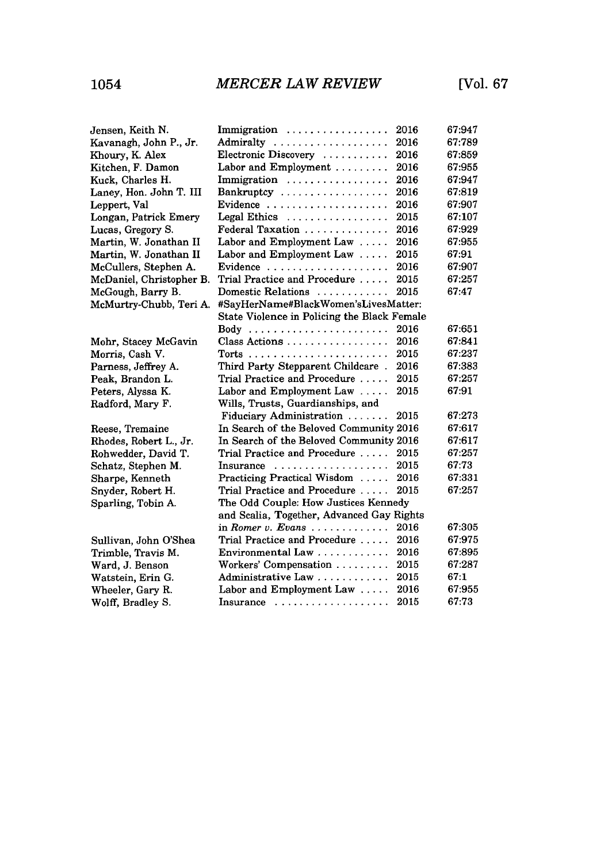| Jensen, Keith N.         | Immigration                                   | 2016 | 67:947 |
|--------------------------|-----------------------------------------------|------|--------|
| Kavanagh, John P., Jr.   |                                               | 2016 | 67:789 |
| Khoury, K. Alex          | Electronic Discovery                          | 2016 | 67:859 |
| Kitchen, F. Damon        | Labor and Employment $\dots\dots\dots$        | 2016 | 67:955 |
| Kuck, Charles H.         | Immigration                                   | 2016 | 67:947 |
| Laney, Hon. John T. III  | Bankruptcy                                    | 2016 | 67:819 |
| Leppert, Val             | Evidence $\ldots \ldots \ldots \ldots \ldots$ | 2016 | 67:907 |
| Longan, Patrick Emery    | Legal Ethics                                  | 2015 | 67:107 |
| Lucas, Gregory S.        | Federal Taxation                              | 2016 | 67:929 |
| Martin, W. Jonathan II   | Labor and Employment Law                      | 2016 | 67:955 |
| Martin, W. Jonathan II   | Labor and Employment Law                      | 2015 | 67:91  |
| McCullers, Stephen A.    |                                               | 2016 | 67:907 |
| McDaniel, Christopher B. | Trial Practice and Procedure                  | 2015 | 67:257 |
| McGough, Barry B.        | Domestic Relations                            | 2015 | 67:47  |
| McMurtry-Chubb, Teri A.  | #SayHerName#BlackWomen'sLivesMatter:          |      |        |
|                          | State Violence in Policing the Black Female   |      |        |
|                          |                                               | 2016 | 67:651 |
| Mohr, Stacey McGavin     |                                               | 2016 | 67:841 |
| Morris, Cash V.          |                                               | 2015 | 67:237 |
| Parness, Jeffrey A.      | Third Party Stepparent Childcare.             | 2016 | 67:383 |
| Peak, Brandon L.         | Trial Practice and Procedure                  | 2015 | 67:257 |
| Peters, Alyssa K.        | Labor and Employment Law $\dots$ .            | 2015 | 67:91  |
| Radford, Mary F.         | Wills, Trusts, Guardianships, and             |      |        |
|                          | Fiduciary Administration                      | 2015 | 67:273 |
| Reese, Tremaine          | In Search of the Beloved Community 2016       |      | 67:617 |
| Rhodes, Robert L., Jr.   | In Search of the Beloved Community 2016       |      | 67:617 |
| Rohwedder, David T.      | Trial Practice and Procedure                  | 2015 | 67:257 |
| Schatz, Stephen M.       | Insurance                                     | 2015 | 67:73  |
| Sharpe, Kenneth          | Practicing Practical Wisdom                   | 2016 | 67:331 |
| Snyder, Robert H.        | Trial Practice and Procedure                  | 2015 | 67:257 |
| Sparling, Tobin A.       | The Odd Couple: How Justices Kennedy          |      |        |
|                          | and Scalia, Together, Advanced Gay Rights     |      |        |
|                          | in Romer $v$ . Evans                          | 2016 | 67:305 |
| Sullivan, John O'Shea    | Trial Practice and Procedure                  | 2016 | 67:975 |
| Trimble, Travis M.       | Environmental Law                             | 2016 | 67:895 |
| Ward, J. Benson          | Workers' Compensation                         | 2015 | 67:287 |
| Watstein, Erin G.        | Administrative Law                            | 2015 | 67:1   |
| Wheeler, Gary R.         | Labor and Employment Law                      | 2016 | 67:955 |
| Wolff. Bradley S.        |                                               | 2015 | 67:73  |
|                          |                                               |      |        |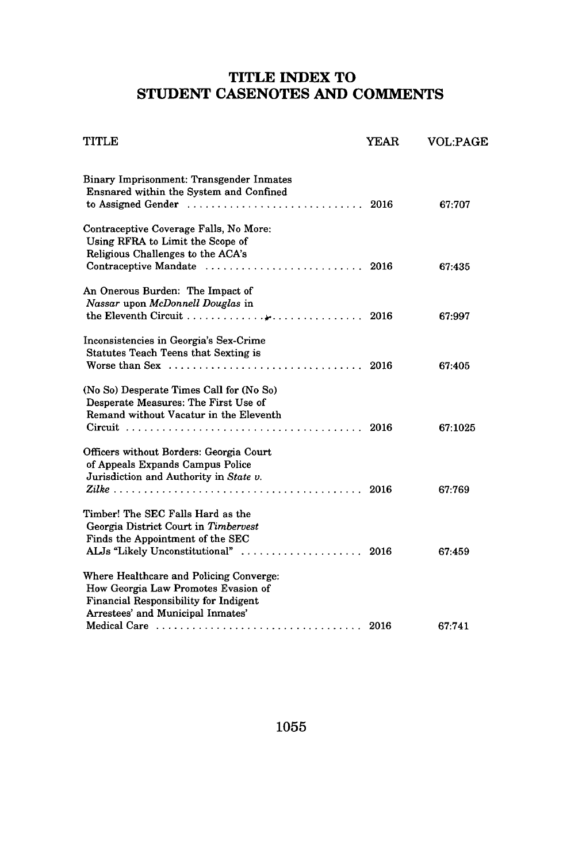## **TITLE INDEX TO STUDENT CASENOTES AND COMMENTS**

| TITLE                                                                                                                                                                              | <b>YEAR</b> | <b>VOL:PAGE</b> |
|------------------------------------------------------------------------------------------------------------------------------------------------------------------------------------|-------------|-----------------|
| Binary Imprisonment: Transgender Inmates<br>Ensnared within the System and Confined<br>to Assigned Gender $\dots \dots \dots \dots \dots \dots \dots \dots \dots \dots \dots$ 2016 |             | 67:707          |
| Contraceptive Coverage Falls, No More:<br>Using RFRA to Limit the Scope of<br>Religious Challenges to the ACA's<br>Contraceptive Mandate                                           | 2016        | 67:435          |
| An Onerous Burden: The Impact of<br>Nassar upon McDonnell Douglas in<br>the Eleventh Circuit $\ldots \ldots \ldots \ldots$                                                         |             | 67:997          |
| Inconsistencies in Georgia's Sex-Crime<br>Statutes Teach Teens that Sexting is<br>Worse than Sex                                                                                   | 2016        | 67:405          |
| (No So) Desperate Times Call for (No So)<br>Desperate Measures: The First Use of<br>Remand without Vacatur in the Eleventh                                                         | 2016        | 67:1025         |
| Officers without Borders: Georgia Court<br>of Appeals Expands Campus Police<br>Jurisdiction and Authority in State v.                                                              | 2016        | 67:769          |
| Timber! The SEC Falls Hard as the<br>Georgia District Court in Timbervest<br>Finds the Appointment of the SEC<br>ALJs "Likely Unconstitutional"  2016                              |             | 67:459          |
| Where Healthcare and Policing Converge:<br>How Georgia Law Promotes Evasion of<br>Financial Responsibility for Indigent                                                            |             |                 |
| Arrestees' and Municipal Inmates'                                                                                                                                                  |             | 67:741          |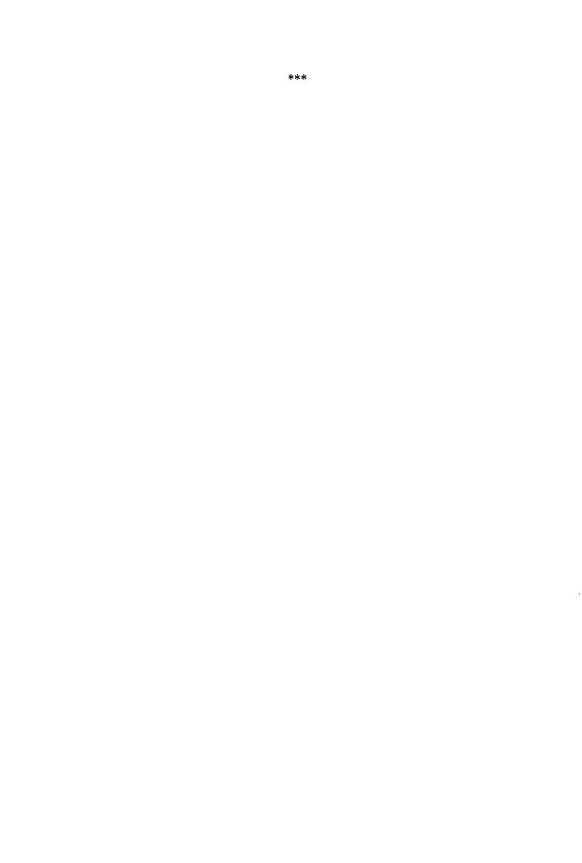

 $\ddot{\phantom{0}}$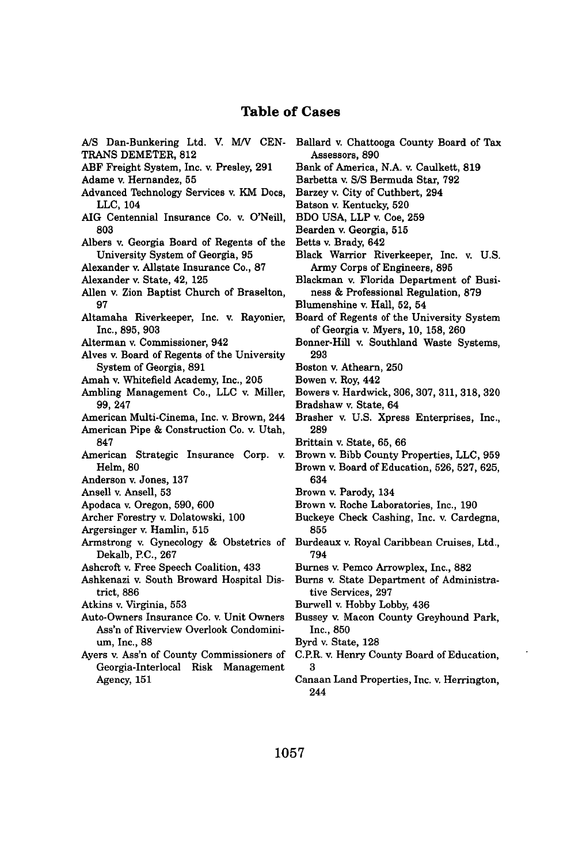#### **Table of Cases**

- A/S Dan-Bunkering Ltd. V. M/V CEN-
- **TRANS** DEMETER, **812**
- ABF Freight System, Inc. v. Presley, **291**
- Adame v. Hernandez, **55**
- Advanced Technology Services v. KM Docs, **LLC,** 104
- **AIG** Centennial Insurance Co. v. O'Neill, **803**
- Albers v. Georgia Board of Regents of the University System of Georgia, **95**
- Alexander v. Allstate Insurance Co., **87**
- Alexander v. State, 42, **125**
- Allen v. Zion Baptist Church of Braselton, **97**
- Altamaha Riverkeeper, Inc. v. Rayonier, Inc., **895, 903**
- Alterman v. Commissioner, 942
- Alves v. Board of Regents of the University System of Georgia, **891**
- Amah v. Whitefield Academy, Inc., **205**
- Ambling Management Co., **LLC** v. Miller, **99, 247**
- American Multi-Cinema, Inc. v. Brown, 244
- American Pipe **&** Construction Co. v. Utah, **847**
- American Strategic Insurance Corp. v. Helm, **80**
- Anderson v. Jones, **137**
- Ansell v. Ansell, **53**
- Apodaca v. Oregon, **590, 600**
- Archer Forestry v. Dolatowski, **100**
- Argersinger v. Hamlin, **515**
- Armstrong v. Gynecology **&** Obstetrics of Dekalb, P.C., **267**
- Ashcroft v. Free Speech Coalition, 433
- Ashkenazi v. South Broward Hospital District, **886**

Atkins v. Virginia, **553**

- Auto-Owners Insurance Co. v. Unit Owners Ass'n of Riverview Overlook Condominium, Inc., **88**
- Ayers v. Ass'n of County Commissioners of Georgia-Interlocal Risk Management Agency, **151**
- Ballard v. Chattooga County Board of Tax Assessors, **890**
- Bank of America, **N.A.** v. Caulkett, **819**
- Barbetta v. **S/S** Bermuda Star, **792**
- Barzey v. City of Cuthbert, 294
- Batson v. Kentucky, 520
- BDO **USA,** LLP v. Coe, **259**
- Bearden v. Georgia, **515**
- Betts v. Brady, 642
- Black Warrior Riverkeeper, Inc. v. **U.S.** Army Corps of Engineers, **895**
- Blackman v. Florida Department of Business **&** Professional Regulation, **879**
- Blumenshine v. Hall, **52,** 54
- Board of Regents of the University System of Georgia v. Myers, **10, 158, 260**
- Bonner-Hill v. Southland Waste Systems, **293**
- Boston v. Athearn, 250
- Bowen v. Roy, 442
- Bowers v. Hardwick, **306, 307, 311, 318, 320**
- Bradshaw v. State, 64
- Brasher v. **U.S.** Xpress Enterprises, Inc., **289**
- Brittain v. State, **65, 66**
- Brown v. Bibb County Properties, **LLC, 959**
- Brown v. Board of Education, **526, 527, 625,** 634
- Brown v. Parody, 134
- Brown v. Roche Laboratories, Inc., **190**
- Buckeye Check Cashing, Inc. v. Cardegna, **855**
- Burdeaux v. Royal Caribbean Cruises, Ltd., 794
- Burnes v. Pemco Arrowplex, Inc., **882**
- Burns v. State Department of Administrative Services, **297**

Burwell v. Hobby Lobby, 436

- Bussey v. Macon County Greyhound Park, Inc., **850**
- Byrd v. State, **128**
- C.P.R. v. Henry County Board of Education, **3**
- Canaan Land Properties, Inc. v. Herrington, 244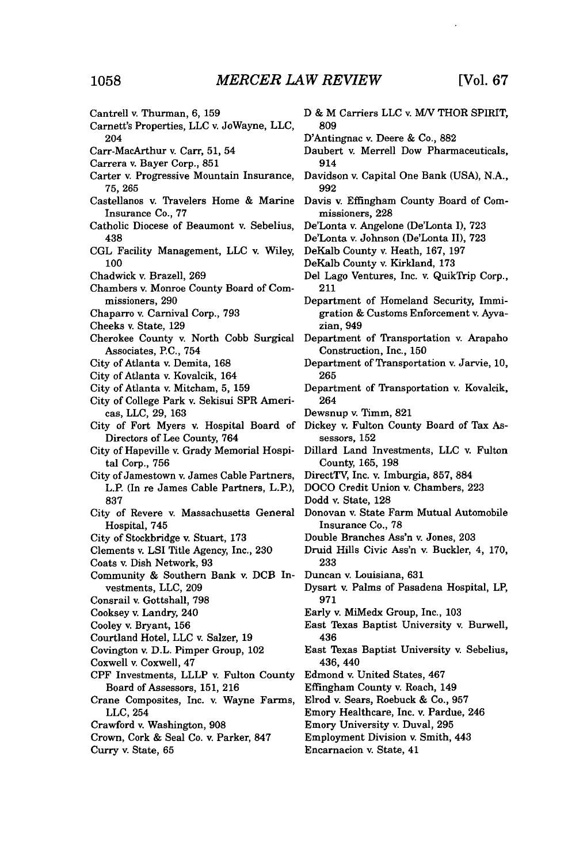- Cantrell v. Thurman, **6, 159** Carnett's Properties, **LLC** v. JoWayne, **LLC,** 204
- Carr-MacArthur v. Carr, **51,** 54
- Carrera v. Bayer Corp., **851**
- Carter v. Progressive Mountain Insurance, **75, 265**
- Castellanos v. Travelers Home **&** Marine Insurance Co., **77**
- Catholic Diocese of Beaumont v. Sebelius, 438
- **CGL** Facility Management, **LLC** v. Wiley, **100**
- Chadwick v. Brazell, **269**
- Chambers v. Monroe County Board of Commissioners, **290**
- Chaparro v. Carnival Corp., **793**
- Cheeks v. State, **129**
- Cherokee County v. North Cobb Surgical Associates, **P.C.,** 754
- City of Atlanta v. Demita, **168**
- City of Atlanta v. Kovalcik, 164
- City of Atlanta v. Mitcham, **5, 159**
- City of College Park v. Sekisui SPR Americas, **LLC, 29, 163**
- City of Fort Myers v. Hospital Board of Directors of Lee County, 764
- City of Hapeville v. Grady Memorial Hospital Corp., **756**
- City of Jamestown v. James Cable Partners, L.P. (In re James Cable Partners, L.P.), **837**
- City of Revere v. Massachusetts General Hospital, 745
- City of Stockbridge v. Stuart, **173**
- Clements v. **LSI** Title Agency, Inc., **230**
- Coats v. Dish Network, **93**
- Community **&** Southern Bank v. DCB Investments, **LLC, 209**
- Consrail v. Gottshall, **798**
- Cooksey v. Landry, 240
- Cooley v. Bryant, **156**
- Courtland Hotel, **LLC** v. Salzer, **19**
- Covington v. D.L. Pimper Group, 102
- Coxwell v. Coxwell, 47
- CPF Investments, LLLP v. Fulton County Board of Assessors, **151, 216**
- Crane Composites, Inc. v. Wayne Farms, **LLC,** 254
- Crawford v. Washington, **908**
- Crown, Cork **&** Seal Co. v. Parker, **847**
- Curry v. State, **65**
- **D &** M Carriers **LLC** v. M/V THOR SPIRIT, **809**
- D'Antingnac v. Deere **&** Co., **882**
- Daubert v. Merrell Dow Pharmaceuticals, 914
- Davidson v. Capital One Bank **(USA), N.A., 992**
- Davis v. Effingham County Board of Commissioners, **228**
- De'Lonta v. Angelone (De'Lonta I), **723**
- De'Lonta v. Johnson (De'Lonta II), **723**
- DeKalb County v. Heath, **167, 197**
- DeKalb County v. Kirkland, **173**
- Del Lago Ventures, Inc. v. QuikTrip Corp., 211
- Department of Homeland Security, Immigration **&** Customs Enforcement v. Ayvazian, 949
- Department of Transportation v. Arapaho Construction, Inc., **150**
- Department of Transportation v. Jarvie, **10, 265**
- Department of Transportation v. Kovalcik, 264
- Dewsnup v. Timm, **821**
- Dickey v. Fulton County Board of Tax Assessors, **152**
- Dillard Land Investments, **LLC** v. Fulton County, **165, 198**
- DirectTV, Inc. v. Imburgia, **857, 884**
- **DOCO** Credit Union v. Chambers, **223**
- Dodd v. State, **128**
- Donovan v. State Farm Mutual Automobile Insurance Co., **78**
- Double Branches Ass'n v. Jones, **203**
- Druid Hills Civic Ass'n v. Buckler, 4, **170, 233**
- Duncan v. Louisiana, **631**
- Dysart v. Palms of Pasadena Hospital, LP, **971**
- Early v. MiMedx Group, Inc., **103**
- East Texas Baptist University v. Burwell, 436
- East Texas Baptist University v. Sebelius, 436, 440
- Edmond v. United States, 467
- Effingham County v. Roach, 149
- Elrod v. Sears, Roebuck **&** Co., **957**
- Emory Healthcare, Inc. v. Pardue, 246
- Emory University v. Duval, **295**
- Employment Division v. Smith, 443
- Encarnacion v. State, 41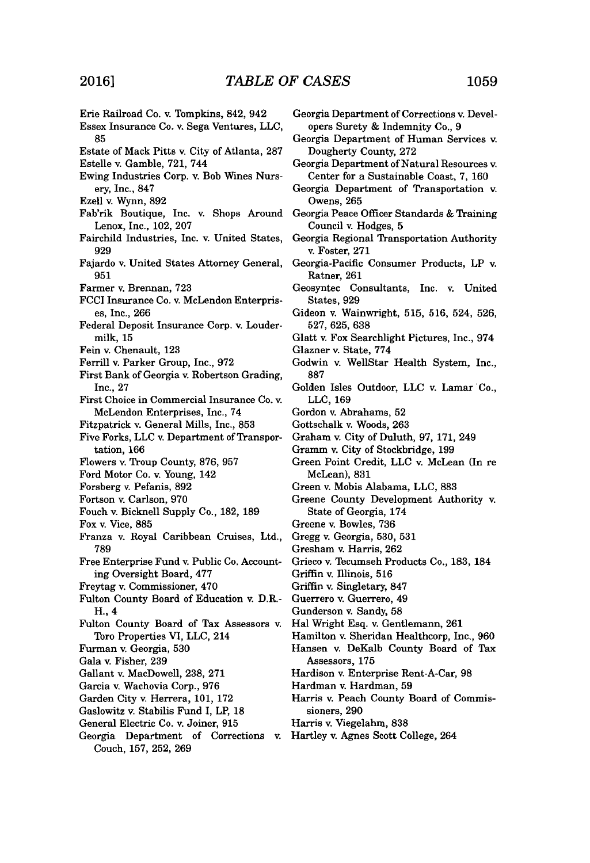- Erie Railroad Co. v. Tompkins, 842, 942
- Essex Insurance Co. v. Sega Ventures, **LLC, 85**
- Estate of Mack Pitts v. City of Atlanta, **287**
- Estelle v. Gamble, **721,** 744
- Ewing Industries Corp. v. Bob Wines Nursery, Inc., **847**
- Ezell v. Wynn, **892**
- Fab'rik Boutique, Inc. v. Shops Around Lenox, Inc., 102, **207**
- Fairchild Industries, Inc. v. United States, **929**
- Fajardo v. United States Attorney General, **951**
- Farmer v. Brennan, **723**
- **FCCI** Insurance Co. v. McLendon Enterprises, Inc., **266**
- Federal Deposit Insurance Corp. v. Loudermilk, **15**
- Fein v. Chenault, **123**
- Ferrill v. Parker Group, Inc., **972**
- First Bank of Georgia v. Robertson Grading, Inc., **27**
- First Choice in Commercial Insurance Co. v. McLendon Enterprises, Inc., 74
- Fitzpatrick v. General Mills, Inc., **853**
- Five Forks, **LLC** v. Department of Transportation, **166**
- Flowers v. Troup County, **876, 957**
- Ford Motor Co. v. Young, 142
- Forsberg v. Pefanis, **892**
- Fortson v. Carlson, **970**
- Fouch v. Bicknell Supply Co., **182, 189**
- Fox v. Vice, **885**
- Franza v. Royal Caribbean Cruises, Ltd., **789**
- Free Enterprise Fund v. Public Co. Accounting Oversight Board, **477**
- Freytag v. Commissioner, 470
- Fulton County Board of Education v. D.R.- H., 4
- Fulton County Board of Tax Assessors v. Toro Properties VI, **LLC,** 214
- Furman v. Georgia, **530**
- Gala v. Fisher, **239**
- Gallant v. MacDowell, **238, 271**
- Garcia v. Wachovia Corp., **976**
- Garden City v. Herrera, **101, 172**
- Gaslowitz v. Stabilis Fund I, LP, **18**
- General Electric Co. v. Joiner, **915**
- Georgia Department of Corrections v. Couch, 157, 252, 269
- Georgia Department of Corrections v. Developers Surety **&** Indemnity Co., **9**
- Georgia Department of Human Services v. Dougherty County, **272**
- Georgia Department of Natural Resources v. Center for a Sustainable Coast, **7, 160**
- Georgia Department of Transportation v. Owens, **265**
- Georgia Peace Officer Standards **&** Training Council v. Hodges, **5**
- Georgia Regional Transportation Authority v. Foster, **271**
- Georgia-Pacific Consumer Products, LP v. Ratner, **261**
- Geosyntec Consultants, Inc. v. United States, **929**
- Gideon v. Wainwright, **515, 516,** 524, **526, 527, 625, 638**
- Glatt v. Fox Searchlight Pictures, Inc., 974 Glazner v. State, **774**
- Godwin v. WellStar Health System, Inc., **887**
- Golden Isles Outdoor, **LLC** v. Lamar 'Co., **LLC, 169**
- Gordon v. Abrahams, **52**
- Gottschalk v. Woods, **263**
- Graham v. City of Duluth, **97, 171,** 249
- Gramm v. City of Stockbridge, **199**
- Green Point Credit, **LLC** v. McLean (In re McLean), **831**
- Green v. Mobis Alabama, **LLC, 883**
- Greene County Development Authority v. State of Georgia, 174
- Greene v. Bowles, **736**
- Gregg v. Georgia, **530, 531**
- Gresham v. Harris, **262**
- Grieco v. Tecumseh Products Co., **183,** 184
- Griffin v. Illinois, **516**
- Griffin v. Singletary, **847**
- Guerrero v. Guerrero, 49
- Gunderson v. Sandy, **58**
- Hal Wright Esq. v. Gentlemann, **261**
- Hamilton v. Sheridan Healthcorp, Inc., **960**
- Hansen v. DeKalb County Board of Tax Assessors, **175**
- Hardison v. Enterprise Rent-A-Car, **98**
- Hardman v. Hardman, **59**
- Harris v. Peach County Board of Commissioners, **290**
- Harris v. Viegelahm, **838**
- Hartley v. Agnes Scott College, 264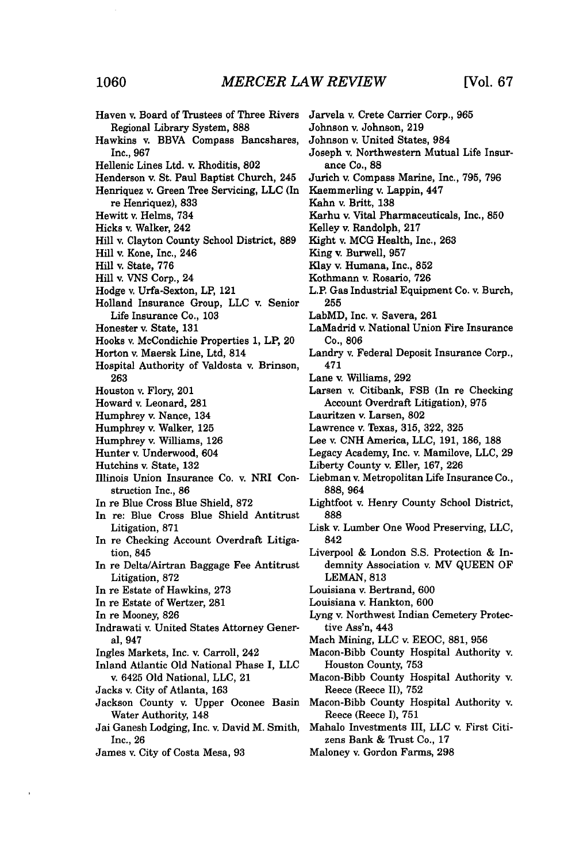Haven v. Board of Trustees of Three Rivers Regional Library System, **888** Hawkins v. BBVA Compass Bancshares, Inc., **967** Hellenic Lines Ltd. v. Rhoditis, **802** Henderson v. St. Paul Baptist Church, 245 Henriquez v. Green Tree Servicing, **LLC** (In re Henriquez), **833** Hewitt v. Helms, 734 Hicks v. Walker, 242 Hill v. Clayton County School District, **889** Hill v. Kone, Inc., 246 Hill v. State, **776** Hill v. **VNS** Corp., 24 Hodge v. Urfa-Sexton, LP, 121 Holland Insurance Group, **LLC** v. Senior Life Insurance Co., **103** Honester v. State, **131** Hooks v. McCondichie Properties **1,** LP, 20 Horton v. Maersk Line, Ltd, 814 Hospital Authority of Valdosta v. Brinson, **263** Houston v. Flory, 201 Howard v. Leonard, **281** Humphrey v. Nance, 134 Humphrey v. Walker, **125** Humphrey v. Williams, **126** Hunter v. Underwood, 604 Hutchins v. State, **132** Illinois Union Insurance Co. v. NRI Construction Inc., **86** In re Blue Cross Blue Shield, **872** In re: Blue Cross Blue Shield Antitrust Litigation, **871** In re Checking Account Overdraft Litigation, 845 In re Delta/Airtran Baggage Fee Antitrust Litigation, **872** In re Estate of Hawkins, **273** In re Estate of Wertzer, **281** In re Mooney, **826** Indrawati v. United States Attorney General, 947 Ingles Markets, Inc. v. Carroll, 242 Inland Atlantic **Old** National Phase **I, LLC** v. 6425 **Old** National, **LLC,** 21 Jacks v. City of Atlanta, **163** Jackson County v. Upper Oconee Basin Water Authority, 148 Jai Ganesh Lodging, Inc. v. David M. Smith, Inc., **26** James v. City of Costa Mesa, **93** Jarvela v. Crete Carrier Corp., **965**

Johnson v. Johnson, **219** Johnson v. United States, 984 Joseph v. Northwestern Mutual Life Insurance Co., **88** Jurich v. Compass Marine, Inc., **795, 796** Kaemmerling v. Lappin, 447 Kahn **v.** Britt, **138** Karhu v. Vital Pharmaceuticals, Inc., **850** Kelley v. Randolph, **217** Kight **v. MCG** Health, Inc., **263** King v. Burwell, **957** Klay v. Humana, Inc., **852** Kothmann **v.** Rosario, **726** L.P. Gas Industrial Equipment Co. v. Burch, **255** LabMD, Inc. v. Savera, **261** LaMadrid **v.** National Union Fire Insurance Co., **806** Landry v. Federal Deposit Insurance Corp., 471 Lane v. Williams, **292** Larsen v. Citibank, FSB (In re Checking Account Overdraft Litigation), **975** Lauritzen v. Larsen, **802** Lawrence **v.** Texas, **315, 322, 325** Lee v. **CNH** America, **LLC, 191, 186, 188** Legacy Academy, Inc. v. Mamilove, **LLC, 29** Liberty County v. Eller, **167, 226** Liebman v. Metropolitan Life Insurance Co., **888, 964** Lightfoot v. Henry County School District, **888** Lisk v. Lumber One Wood Preserving, **LLC,** 842 Liverpool **&** London **S.S.** Protection **&** Indemnity Association v. MV **QUEEN** OF **LEMAN, 813** Louisiana **v.** Bertrand, **600** Louisiana **v.** Hankton, **600** Lyng v. Northwest Indian Cemetery Protective Ass'n, 443 Mach Mining, **LLC** v. **EEOC, 881, 956** Macon-Bibb County Hospital Authority v. Houston County, **753** Macon-Bibb County Hospital Authority v. Reece (Reece II), **752** Macon-Bibb County Hospital Authority v. Reece (Reece **I), 751**

Mahalo Investments III, **LLC** v. First Citizens Bank **&** Trust Co., **17**

Maloney **v.** Gordon Farms, **298**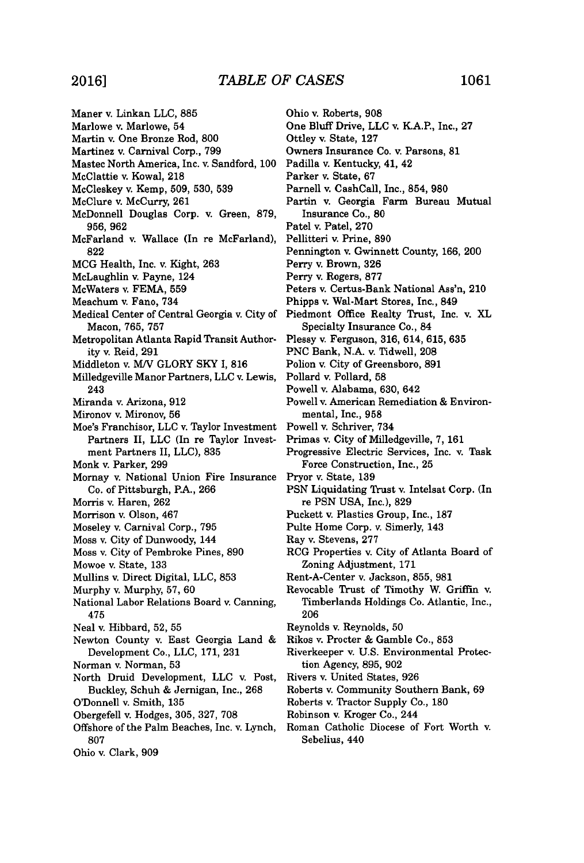Maner v. Linkan **LLC, 885** Marlowe v. Marlowe, 54 Martin v. One Bronze Rod, **800** Martinez v. Carnival Corp., **799** Mastec North America, Inc. v. Sandford, **100** McClattie v. Kowal, **218** McCleskey v. Kemp, **509, 530, 539** McClure v. McCurry, **261** McDonnell Douglas Corp. v. Green, **879, 956, 962** McFarland v. Wallace (In re McFarland), **822 MCG** Health, Inc. v. Kight, **263** McLaughlin v. Payne, 124 McWaters v. **FEMA, 559** Meachum v. Fano, 734 Medical Center of Central Georgia v. City of Macon, **765, 757** Metropolitan Atlanta Rapid Transit Authority v. Reid, **291** Middleton v. M/V GLORY SKY I, **816** Milledgeville Manor Partners, **LLC** v. Lewis, 243 Miranda v. Arizona, **912** Mironov v. Mironov, **56** Moe's Franchisor, **LLC** v. Taylor Investment Partners II, **LLC** (In re Taylor Investment Partners II, **LLC), 835** Monk v. Parker, **299** Mornay v. National Union Fire Insurance Co. of Pittsburgh, P.A., **266** Morris v. Haren, **262** Morrison v. Olson, 467 Moseley v. Carnival Corp., **795** Moss v. City of Dunwoody, 144 Moss v. City of Pembroke Pines, **890** Mowoe v. State, **133** Mullins v. Direct Digital, **LLC, 853** Murphy v. Murphy, **57, 60** National Labor Relations Board v. Canning, 475 Neal v. Hibbard, **52, 55** Newton County v. East Georgia Land Development Co., **LLC, 171, 231** Norman v. Norman, **53** North Druid Development, **LLC** v. Post, Buckley, Schuh **&** Jernigan, Inc., **268** O'Donnell v. Smith, **135** Obergefell v. Hodges, **305, 327, 708**

- Offshore of the Palm Beaches, Inc. v. Lynch, **807**
- Ohio v. Clark, **909**

Ohio v. Roberts, **908**

- One Bluff Drive, **LLC** v. K.A.P., Inc., **27**
- Ottley v. State, **127**
- Owners Insurance Co. v. Parsons, **81**
- Padilla v. Kentucky, 41, 42
- Parker v. State, **67**
- Parnell v. CashCall, Inc., **854, 980**
- Partin v. Georgia Farm Bureau Mutual Insurance Co., **80**
- Patel v. Patel, **270**
- Pellitteri v. Prine, **890**
- Pennington v. Gwinnett County, **166,** 200
- Perry v. Brown, **326**
- Perry v. Rogers, **877**
- Peters v. Certus-Bank National Ass'n, 210
- Phipps v. Wal-Mart Stores, Inc., 849
- Piedmont Office Realty Trust, Inc. v. XL Specialty Insurance Co., 84
- Plessy v. Ferguson, **316,** 614, **615, 635**
- **PNC** Bank, **N.A.** v. Tidwell, **208**
- Polion v. City of Greensboro, **891**
- Pollard v. Pollard, **58**
- Powell v. Alabama, **630,** 642
- Powell v. American Remediation **&** Environmental, Inc., **958**
- Powell v. Schriver, 734
- Primas v. City of Milledgeville, **7, 161**

Progressive Electric Services, Inc. v. Task Force Construction, Inc., **25**

- Pryor v. State, **139**
- **PSN** Liquidating Trust v. Intelsat Corp. (In re **PSN USA,** Inc.), **829**
- Puckett v. Plastics Group, Inc., **187**
- Pulte Home Corp. v. Simerly, 143
- Ray v. Stevens, **277**
- RCG Properties v. City of Atlanta Board of Zoning Adjustment, **171**
- Rent-A-Center v. Jackson, **855, 981**
- Revocable Trust of Timothy W. Griffin v. Timberlands Holdings Co. Atlantic, Inc., **206**
- Reynolds v. Reynolds, **50**
- Rikos v. Procter **&** Gamble Co., **853**
- Riverkeeper v. **U.S.** Environmental Protection Agency, **895,** 902
- Rivers v. United States, **926**
- Roberts v. Community Southern Bank, **69**
- Roberts v. Tractor Supply Co., **180**
- Robinson v. Kroger Co., 244
- Roman Catholic Diocese of Fort Worth v. Sebelius, 440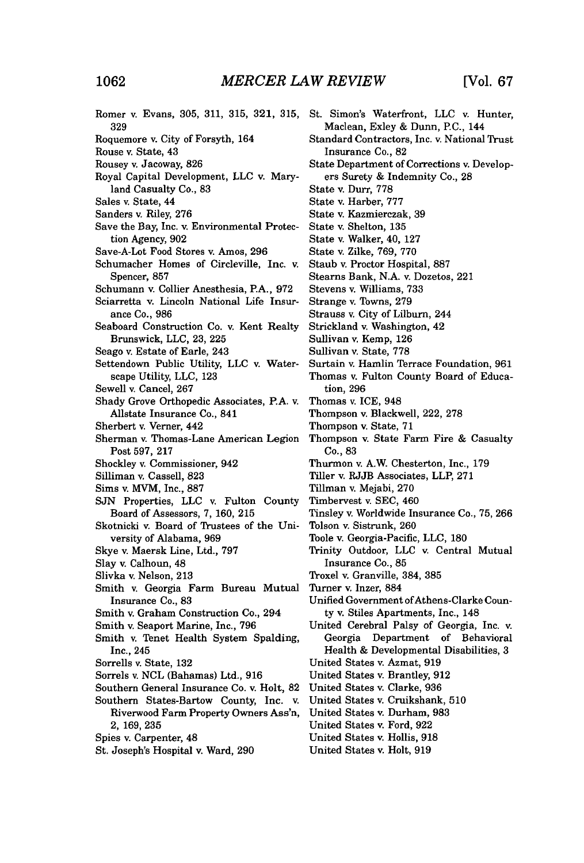- Romer v. Evans, **305, 311, 315, 321, 315, 329** Roquemore v. City of Forsyth, 164
- 
- Rouse v. State, 43 Rousey v. Jacoway, **826**
- Royal Capital Development, **LLC** v. Maryland Casualty Co., **83**
- Sales v. State, 44
- Sanders v. Riley, **276**
- Save the Bay, Inc. v. Environmental Protection Agency, **902**
- Save-A-Lot Food Stores v. Amos, **296**
- Schumacher Homes of Circleville, Inc. v. Spencer, **857**
- Schumann v. Collier Anesthesia, P.A., **972**
- Sciarretta v. Lincoln National Life Insurance Co., **986**
- Seaboard Construction Co. v. Kent Realty Brunswick, **LLC, 23, 225**
- Seago v. Estate of Earle, 243
- Settendown Public Utility, **LLC** v. Waterscape Utility, **LLC, 123**
- Sewell v. Cancel, **267**
- Shady Grove Orthopedic Associates, **P.A.** v. Allstate Insurance Co., 841
- Sherbert v. Verner, 442
- Sherman v. Thomas-Lane American Legion Post **597, 217**
- Shockley v. Commissioner, 942
- Silliman v, Cassell, **823**
- Sims v. MVM, Inc., **887**
- **SJN** Properties, **LLC** v. Fulton County Board of Assessors, **7, 160, 215**
- Skotnicki v. Board of Trustees of the University of Alabama, **969**
- Skye v. Maersk Line, Ltd., **797**
- Slay v. Calhoun, 48
- Slivka v. Nelson, **213**
- Smith v. Georgia Farm Bureau Mutual Insurance Co., **83**
- Smith v. Graham Construction Co., 294
- Smith v. Seaport Marine, Inc., **796**
- Smith v. Tenet Health System Spalding, Inc., 245
- Sorrells v. State, **132**
- Sorrels v. **NCL** (Bahamas) Ltd., **916**
- Southern General Insurance Co. v. Holt, **82**
- Southern States-Bartow County, Inc. v. Riverwood Farm Property Owners Ass'n, 2, **169, 235**
- Spies v. Carpenter, 48
- St. Joseph's Hospital v. Ward, **290**

St. Simon's Waterfront, **LLC** v. Hunter, Maclean, Exley **&** Dunn, **P.C.,** 144 Standard Contractors, Inc. v. National Trust Insurance Co., **82** State Department of Corrections v. Developers Surety **&** Indemnity Co., **28** State v. Durr, **778** State v. Harber, **777** State v. Kazmierczak, **39** State v. Shelton, **135** State v. Walker, 40, **127** State v. Zilke, **769, 770** Staub v. Proctor Hospital, **887** Stearns Bank, **N.A.** v. Dozetos, 221 Stevens v. Williams, **733** Strange v. Towns, **279** Strauss v. City of Lilburn, 244 Strickland v. Washington, 42 Sullivan v. Kemp, **126** Sullivan v. State, **778** Surtain v. Hamlin Terrace Foundation, **961** Thomas v. Fulton County Board of Education, **296** Thomas v. **ICE,** 948 Thompson v. Blackwell, 222, **278** Thompson v. State, **71** Thompson v. State Farm Fire **&** Casualty Co., **83** Thurmon v. A.W. Chesterton, Inc., **179** Tiller v. **RJJB** Associates, LLP, **271** Tillman v. Mejabi, **270** Timbervest v. **SEC,** 460 Tinsley v. Worldwide Insurance Co., **75, 266** Tolson v. Sistrunk, **260** Toole v. Georgia-Pacific, **LLC, 180** Trinity Outdoor, **LLC** v. Central Mutual Insurance Co., **85** Troxel v. Granville, 384, **385** Turner v. Inzer, **884** Unified Government ofAthens-Clarke County v. Stiles Apartments, Inc., 148 United Cerebral Palsy of Georgia, Inc. v. Georgia Department of Behavioral Health **&** Developmental Disabilities, **3** United States v. Azmat, **919** United States v. Brantley, **912** United States v. Clarke, **936** United States v. Cruikshank, **510** United States v. Durham, **983**

- United States v. Ford, **922**
- United States v. Hollis, **918**
- United States v. Holt, **919**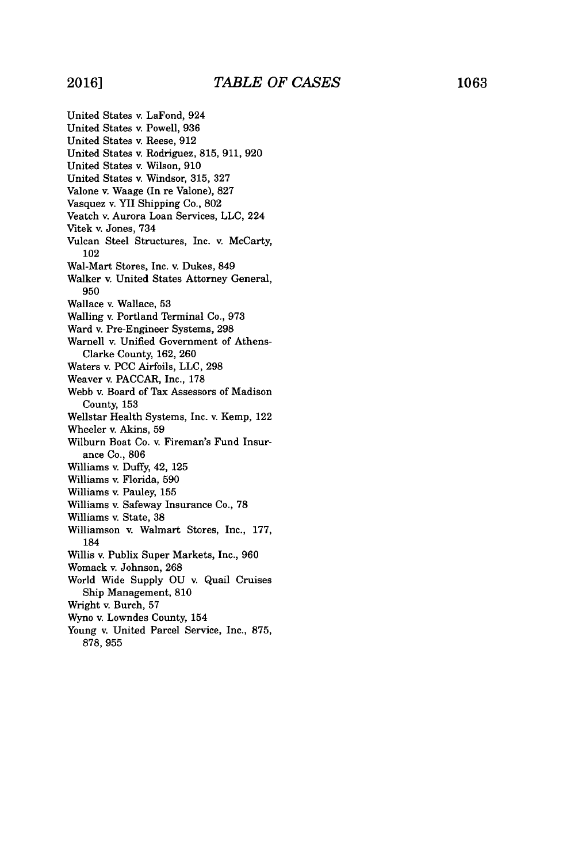#### **2016]**

United States v. LaFond, 924 United States v. Powell, **936** United States v. Reese, **912** United States v. Rodriguez, **815, 911, 920** United States v. Wilson, **910** United States v. Windsor, **315, 327** Valone v. Waage (In re Valone), **827** Vasquez v. YII Shipping Co., **802** Veatch v. Aurora Loan Services, **LLC,** 224 Vitek v. Jones, 734 Vulcan Steel Structures, Inc. v. McCarty, 102 Wal-Mart Stores, Inc. v. Dukes, 849 Walker v. United States Attorney General, **950** Wallace v. Wallace, **53** Walling v. Portland Terminal Co., **973** Ward v. Pre-Engineer Systems, **298** Warnell v. Unified Government of Athens-Clarke County, **162, 260** Waters v. **PCC** Airfoils, **LLC, 298** Weaver v. PACCAR, Inc., **178** Webb v. Board of Tax Assessors of Madison County, **153** Wellstar Health Systems, Inc. v. Kemp, 122 Wheeler v. Akins, **59** Wilburn Boat Co. v. Fireman's Fund Insurance Co., **806** Williams v. Duffy, 42, 125 Williams v. Florida, **590** Williams v. Pauley, **155** Williams v. Safeway Insurance Co., **78** Williams v. State, **38** Williamson v. Walmart Stores, Inc., **177,** 184 Willis v. Publix Super Markets, Inc., **960** Womack v. Johnson, **268** World Wide Supply **OU** v. Quail Cruises Ship Management, **810** Wright v. Burch, **57** Wyno v. Lowndes County, 154 Young v. United Parcel Service, Inc., **875,**

**878, 955**